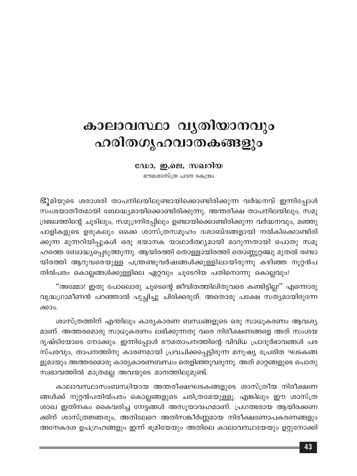# കാലാവസ്ഥാ വൃതിയാനവും ഹരിതഗൃഹവാതകങ്ങളും

ഡോ. ഇ.ജെ. സഖറിയ

ഭൗമശാസ്ത്ര പഠന കേന്ദ്രം

S) മിയുടെ ശരാശരി താപനിലയിലുണ്ടായിക്കൊണ്ടിരിക്കുന്ന വർദ്ധനവ് ഇന്നിപ്പോൾ സംശയാതീതമായി ബോദ്ധ്യമായിക്കൊണ്ടിരിക്കുന്നു. അന്തരീക്ഷ താപനിലയിലും, സമു ദ്രജലത്തിന്റെ ചൂടിലും, സമുദ്രനിരപ്പിലും ഉണ്ടായിക്കൊണ്ടിരിക്കുന്ന വർദ്ധനവും, മഞ്ഞു പാളികളുടെ ഉരുകലും ഒക്കെ ശാസ്ത്രസമൂഹം ദശാബ്ദങ്ങളായി നൽകിക്കൊണ്ടിരി ക്കുന്ന മുന്നറിയിപ്പുകൾ ഒരു ഭയാനക യാഥാർത്ഥ്യമായി മാറുന്നതായി പൊതു സമൂ ഹത്തെ ബോദ്ധ്യപ്പെടുത്തുന്നു. ആയിരത്തി തൊള്ളായിരത്തി തൊണ്ണൂറ്റഞ്ചു മുതൽ രണ്ടാ യിരത്തി ആറുവരെയുള്ള പന്ത്രണ്ടുവർഷങ്ങൾക്കുള്ളിലായിരുന്നു കഴിഞ്ഞ നൂറ്റൻപ തിൽപരം കൊല്ലങ്ങൾക്കുള്ളിലെ ഏറ്റവും ചൂടേറിയ പതിനൊന്നു കൊല്ലവും!

''അമ്മോ! ഇതു പോലൊരു ചൂടെന്റെ ജീവിതത്തിലിതുവരെ കണ്ടിട്ടില്ല!'' എന്നൊരു വൃദ്ധഗ്രാമീണൻ പറഞ്ഞാൽ പുച്ഛിച്ചു ചിരിക്കരുത്. അതൊരു പക്ഷേ സത്യമായിരുന്നേ ക്കാം.

ശാസ്ത്രത്തിന് എന്തിലും കാര്യകാരണ ബന്ധങ്ങളുടെ ഒരു സാധൂകരണം ആവശ്യ മാണ്. അത്തരമൊരു സാധൂകരണം ലഭിക്കുന്നതു വരെ നിരീക്ഷണങ്ങളെ അത് സംശയ ദൃഷ്ടിയോടെ നോക്കും. ഇന്നിപ്പോൾ ഭൗമതാപനത്തിന്റെ വിവിധ പ്രാദുർഭാവങ്ങൾ പര സ്പരവും, താപനത്തിനു കാരണമായി പ്രവചിക്കപ്പെട്ടിരുന്ന മനുഷ്യ പ്രേരിത ഘടകങ്ങ ളുമായും അത്തരമൊരു കാര്യകാരണബന്ധം തെളിഞ്ഞുവരുന്നു. അത് മാറ്റങ്ങളുടെ പൊതു സ്വഭാവത്തിൽ മാത്രമല്ല അവയുടെ മാനത്തിലുമുണ്ട്.

കാലാവസ്ഥാസംബന്ധിയായ അന്തരീക്ഷഘടകങ്ങളുടെ ശാസ്ത്രീയ നിരീക്ഷണ ങ്ങൾക്ക് നൂറ്റൻപതിൽപരം കൊല്ലങ്ങളുടെ ചരിത്രമേയുള്ളൂ. എങ്കിലും ഈ ശാസ്ത്ര ശാഖ ഇതിനകം കൈവരിച്ച നേട്ടങ്ങൾ അസൂയാവഹമാണ്. പ്രഗത്ഭരായ ആയിരക്കണ ക്കിന് ശാസ്ത്രജ്ഞരും, അതിലേറെ അതിസങ്കീർണ്ണമായ നിരീക്ഷണോപകരണങ്ങളും അനേകദശ ഉപഗ്രഹങ്ങളും ഇന്ന് ഭൂമിയേയും അതിലെ കാലാവസ്ഥയേയും ഉറ്റുനോക്കി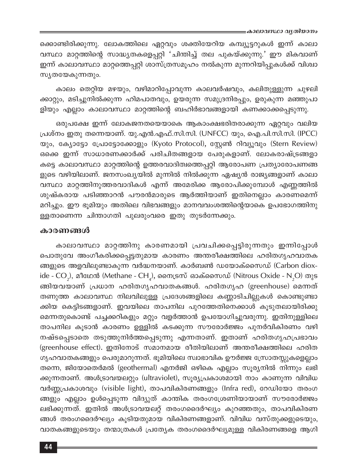ക്കൊണ്ടിരിക്കുന്നു. ലോകത്തിലെ ഏറ്റവും ശക്തിയേറിയ കമ്പ്യൂട്ടറുകൾ ഇന്ന് കാലാ വസ്ഥാ മാറ്റത്തിന്റെ സാദ്ധ്യതകളെപ്പറ്റി 'ചിന്തിച്ച് തല പുകയ്ക്കുന്നു.' ഈ മികവാണ് ഇന്ന് കാലാവസ്ഥാ മാറ്റത്തെപ്പറ്റി ശാസ്ത്രസമൂഹം നൽകുന്ന മുന്നറിയിപ്പുകൾക്ക് വിശ്വാ സ്യതയേകുന്നതും.

കാലം തെറ്റിയ മഴയും, വഴിമാറിപ്പോവുന്ന കാലവർഷവും, കലിതുള്ളുന്ന ചുഴലി ക്കാറ്റും, മടിച്ചുനിൽക്കുന്ന ഹിമപാതവും, ഉയരുന്ന സമുദ്രനിരപ്പും, ഉരുകുന്ന മഞ്ഞുപാ ളിയും എല്ലാം കാലാവസ്ഥാ മാറ്റത്തിന്റെ ബഹിർഭാവങ്ങളായി കണക്കാക്കപ്പെടുന്നു.

ഒരുപക്ഷേ ഇന്ന് ലോകജനതയെയാകെ ആകാംക്ഷഭരിതരാക്കുന്ന ഏറ്റവും വലിയ പ്രശ്നം ഇതു തന്നെയാണ്. യു.എൻ.എഫ്.സി.സി. (UNFCC) യും, ഐ.പി.സി.സി. (IPCC) യും, ക്യോട്ടോ പ്രോട്ടോക്കോളും (Kyoto Protocol), സ്റ്റേൺ റിവ്യൂവും (Stern Review) ഒക്കെ ഇന്ന് സാധാരണക്കാർക്ക് പരിചിതങ്ങളായ പേരുകളാണ്. ലോകരാഷ്ട്രങ്ങളാ കട്ടെ കാലാവസ്ഥാ മാറ്റത്തിന്റെ ഉത്തരവാദിത്വത്തെപ്പറ്റി ആരോപണ പ്രത്യാരോപണങ്ങ ളുടെ വഴിയിലാണ്. ജനസംഖ്യയിൽ മുന്നിൽ നിൽക്കുന്ന ഏഷ്യൻ രാജ്യങ്ങളാണ് കാലാ വസ്ഥാ മാറ്റത്തിനുത്തരവാദികൾ എന്ന് അമേരിക്ക ആരോപിക്കുമ്പോൾ എണ്ണത്തിൽ ശുഷ്കരായ പടിഞ്ഞാറൻ പൗരൻമാരുടെ ആർത്തിയാണ് ഇതിനെല്ലാം കാരണമെന്ന് മറിച്ചും. ഈ ഭൂമിയും അതിലെ വിഭവങ്ങളും മാനവവംശത്തിന്റെയാകെ ഉപഭോഗത്തിനു ള്ളതാണെന്ന ചിന്താഗതി പുലരുംവരെ ഇതു തുടർന്നേക്കും.

#### കാരണങ്ങൾ

കാലാവസ്ഥാ മാറ്റത്തിനു കാരണമായി പ്രവചിക്കപ്പെട്ടിരുന്നതും ഇന്നിപ്പോൾ പൊതുവേ അംഗീകരിക്കപ്പെട്ടതുമായ കാരണം അന്തരീക്ഷത്തിലെ ഹരിതഗൃഹവാതക ങ്ങളുടെ അളവിലുണ്ടാകുന്ന വർദ്ധനയാണ്. കാർബൺ ഡയോക്സൈഡ് (Carbon dioxide -  $CO_2$ ), മീഥേൻ (Methane -  $CH_4$ ), നൈട്രസ് ഓക്സൈഡ് (Nitrous Oxide - N<sub>2</sub>O) തുട ങ്ങിയവയാണ് പ്രധാന ഹരിതഗൃഹവാതകങ്ങൾ. ഹരിതഗൃഹ (greenhouse) മെന്നത് തണുത്ത കാലാവസ്ഥ നിലവിലുള്ള പ്രദേശങ്ങളിലെ കണ്ണാടിചില്ലുകൾ കൊണ്ടുണ്ടാ ക്കിയ കെട്ടിടങ്ങളാണ്. ഇവയിലെ താപനില പുറത്തേതിനെക്കാൾ കൂടുതലായിരിക്കു മെന്നതുകൊണ്ട് പച്ചക്കറികളും മറ്റും വളർത്താൻ ഉപയോഗിച്ചുവരുന്നു. ഇതിനുള്ളിലെ താപനില കൂടാൻ കാരണം ഉള്ളിൽ കടക്കുന്ന സൗരോർജ്ജം പുനർവികിരണം വഴി നഷ്ടപ്പെടാതെ തടുത്തുനിർത്തപ്പെടുന്നു എന്നതാണ്. ഇതാണ് ഹരിതഗൃഹപ്രഭാവം (greenhouse effect). ഇതിനോട് സമാനമായ രീതിയിലാണ് അന്തരീക്ഷത്തിലെ ഹരിത ഗൃഹവാതകങ്ങളും പെരുമാറുന്നത്. ഭൂമിയിലെ സ്വാഭാവിക ഊർജ്ജ സ്രോതസ്സുകളെല്ലാം തന്നെ, ജിയോതെർമൽ (geothermal) എനർജി ഒഴികെ എല്ലാം സൂര്യനിൽ നിന്നും ലഭി ക്കുന്നതാണ്. അൾട്രാവയലറ്റും (ultraviolet), സൂര്യപ്രകാശമായി നാം കാണുന്ന വിവിധ വർണ്ണപ്രകാശവും (visible light), താപവികിരണങ്ങളും (Infra red), റേഡിയോ തരംഗ ങ്ങളും എല്ലാം ഉൾപ്പെടുന്ന വിദ്യുത് കാന്തിക തരംഗശ്രേണിയായാണ് സൗരോർജ്ജം ലഭിക്കുന്നത്. ഇതിൽ അൾട്രാവയലറ്റ് തരംഗദൈർഘ്യം കുറഞ്ഞതും, താപവികിരണ ങ്ങൾ തരംഗദൈർഘ്യം കൂടിയതുമായ വികിരണങ്ങളാണ്. വിവിധ വസ്തുക്കളുടെയും, വാതകങ്ങളുടെയും തന്മാത്രകൾ പ്രത്യേക തരംഗദൈർഘ്യമുള്ള വികിരണങ്ങളെ ആഗി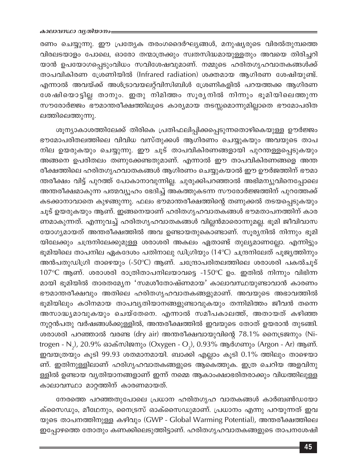രണം ചെയ്യുന്നു. ഈ പ്രത്യേക തരംഗദൈർഘ്യങ്ങൾ, മനുഷ്യരുടെ വിരൽതുമ്പത്തെ വിരലടയാളം പോലെ, ഓരോ തന്മാത്രക്കും സ്വതസിദ്ധമായുള്ളതും അവയെ തിരിച്ചറി യാൻ ഉപയോഗപ്പെടുംവിധം സവിശേഷവുമാണ്. നമ്മുടെ ഹരിതഗൃഹവാതകങ്ങൾക്ക് താപവികിരണ ശ്രേണിയിൽ (Infrared radiation) ശക്തമായ ആഗിരണ ശേഷിയുണ്ട്. എന്നാൽ അവയ്ക്ക് അൾട്രാവയലറ്റ്വിസിബിൾ ശ്രേണികളിൽ പറയത്തക്ക ആഗിരണ ശേഷിയൊട്ടില്ല താനും. ഇതു നിമിത്തം സൂര്യനിൽ നിന്നും ഭൂമിയിലെത്തുന്ന സൗരോർജ്ജം ഭൗമാന്തരീക്ഷത്തിലൂടെ കാര്യമായ തടസ്സമൊന്നുമില്ലാതെ ഭൗമോപരിത ലത്തിലെത്തുന്നു.

ശൂന്യാകാശത്തിലേക്ക് തിരികെ പ്രതിഫലിപ്പിക്കപ്പെടുന്നതൊഴികെയുള്ള ഊർജ്ജം ഭൗമോപരിതലത്തിലെ വിവിധ വസ്തുക്കൾ ആഗിരണം ചെയ്യുകയും അവയുടെ താപ നില ഉയരുകയും ചെയ്യുന്നു. ഈ ചൂട് താപവികിരണങ്ങളായി പുറന്തള്ളപ്പെടുകയും അങ്ങനെ ഉപരിതലം തണുക്കേണ്ടതുമാണ്. എന്നാൽ ഈ താപവികിരണങ്ങളെ അന്ത രീക്ഷത്തിലെ ഹരിതഗൃഹവാതകങ്ങൾ ആഗിരണം ചെയ്യുകയാൽ ഈ ഊർജത്തിന് ഭൗമാ ന്തരീക്ഷം വിട്ട് പുറത്ത് പോകാനാവുന്നില്ല. ചുരുക്കിപറഞ്ഞാൽ അഭിമന്യുവിനെപ്പോലെ അന്തരീക്ഷമാകുന്ന പത്മവ്യൂഹം ഭേദിച്ച് അകത്തുകടന്ന സൗരോർജ്ജത്തിന് പുറത്തേക്ക് കടക്കാനാവാതെ കുഴങ്ങുന്നു. ഫലം ഭൗമാന്തരീക്ഷത്തിന്റെ തണുക്കൽ തടയപ്പെടുകയും ചൂട് ഉയരുകയും ആണ്. ഇങ്ങനെയാണ് ഹരിതഗൃഹവാതകങ്ങൾ ഭൗമതാപനത്തിന് കാര ണമാകുന്നത്. എന്നുവച്ച് ഹരിതഗൃഹവാതകങ്ങൾ വില്ലൻമാരൊന്നുമല്ല. ഭൂമി ജീവിവാസ യോഗ്യമായത് അന്തരീക്ഷത്തിൽ അവ ഉണ്ടായതുകൊണ്ടാണ്. സൂര്യനിൽ നിന്നും ഭൂമി യിലേക്കും ചന്ദ്രനിലേക്കുമുള്ള ശരാശരി അകലം ഏതാണ്ട് തുല്യമാണല്ലോ. എന്നിട്ടും ഭൂമിയിലെ താപനില ഏകദേശം പതിനാലു ഡിഗ്രിയും (14°C) ചന്ദ്രനിലേത് പൂജ്യത്തിനും അൻപതുഡിഗ്രി താഴെയും (-50℃) ആണ്. ചന്ദ്രോപരിതലത്തിലെ ശരാശരി പകൽചൂട് 107°C ആണ്. ശരാശരി രാത്രിതാപനിലയാവട്ടെ -150°C ഉം. ഇതിൽ നിന്നും വിഭിന്ന മായി ഭൂമിയിൽ താരതമ്യേന 'സമശീതോഷ്ണമായ' കാലാവസ്ഥയുണ്ടാവാൻ കാരണം ഭൗമാന്തരീക്ഷവും അതിലെ ഹരിതഗൃഹവാതകങ്ങളുമാണ്. അവയുടെ അഭാവത്തിൽ ഭൂമിയിലും കഠിനമായ താപവ്യതിയാനങ്ങളുണ്ടാവുകയും തന്നിമിത്തം ജീവൻ തന്നെ അസാദ്ധ്യമാവുകയും ചെയ്തേനെ. എന്നാൽ സമീപകാലത്ത്, അതായത് കഴിഞ്ഞ നൂറ്റൻപതു വർഷങ്ങൾക്കുള്ളിൽ, അന്തരീക്ഷത്തിൽ ഇവയുടെ തോത് ഉയരാൻ തുടങ്ങി. ശരാശരി പറഞ്ഞാൽ വരണ്ട (dry air) അന്തരീക്ഷവായുവിന്റെ 78.1% നൈട്രജനും (Nitrogen - N<sub>2</sub>), 20.9% ഓക്സിജനും (Oxygen - O<sub>2</sub>), 0.93% ആർഗണും (Argon - Ar) ആണ്. ഇവയത്രയും കൂടി 99.93 ശതമാനമായി. ബാക്കി എല്ലാം കൂടി 0.1% ത്തിലും താഴെയാ ണ്. ഇതിനുള്ളിലാണ് ഹരിഗൃഹവാതകങ്ങളുടെ ആകെത്തുക. ഇത്ര ചെറിയ അളവിനു ള്ളിൽ ഉണ്ടായ വ്യതിയാനങ്ങളാണ് ഇന്ന് നമ്മെ ആകാംക്ഷാഭരിതരാക്കും വിധത്തിലുള്ള കാലാവസ്ഥാ മാറ്റത്തിന് കാരണമായത്.

നേരത്തെ പറഞ്ഞതുപോലെ പ്രധാന ഹരിതഗൃഹ വാതകങ്ങൾ കാർബൺഡയോ ക്സൈഡും, മീഥേനും, നൈട്രസ് ഓക്സൈഡുമാണ്. പ്രധാനം എന്നു പറയുന്നത് ഇവ യുടെ താപനത്തിനുള്ള കഴിവും (GWP - Global Warming Potential), അന്തരീക്ഷത്തിലെ ഇപ്പോഴത്തെ തോതും കണക്കിലെടുത്തിട്ടാണ്. ഹരിതഗൃഹവാതകങ്ങളുടെ താപനശേഷി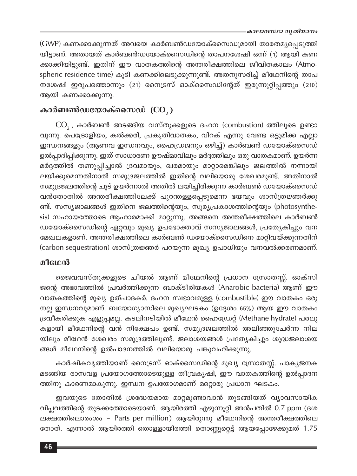(GWP) കണക്കാക്കുന്നത് അവയെ കാർബൺഡയോക്സൈഡുമായി താരതമൃപ്പെടുത്തി യിട്ടാണ്. അതായത് കാർബൺഡയോക്സൈഡിന്റെ താപനശേഷി ഒന്ന് (1) ആയി കണ ക്കാക്കിയിട്ടുണ്ട്. ഇതിന് ഈ വാതകത്തിന്റെ അന്തരീക്ഷത്തിലെ ജീവിതകാലം (Atmospheric residence time) കൂടി കണക്കിലെടുക്കുന്നുണ്ട്. അതനുസരിച്ച് മീഥേനിന്റെ താപ നശേഷി ഇരുപത്തൊന്നും (21) നൈട്രസ് ഓക്സൈഡിന്റേത് ഇരുന്നൂറ്റിപ്പത്തും (210) ആയി കണക്കാക്കുന്നു.

# കാർബൺഡയോക്സൈഡ്  $(CO, )$

 $\mathrm{CO}_2$ , കാർബൺ അടങ്ങിയ വസ്തുക്കളുടെ ദഹന (combustion) ത്തിലൂടെ ഉണ്ടാ വുന്നു. പെട്രോളിയം, കൽക്കരി, പ്രകൃതിവാതകം, വിറക് എന്നു വേണ്ട ഒട്ടുമിക്ക എല്ലാ ഇന്ധനങ്ങളും (ആണവ ഇന്ധനവും, ഹൈഡ്രജനും ഒഴിച്ച്) കാർബൺ ഡയോക്സൈഡ് ഉൽപ്പാദിപ്പിക്കുന്നു. ഇത് സാധാരണ ഊഷ്മാവിലും മർദ്ദത്തിലും ഒരു വാതകമാണ്. ഉയർന്ന മർദ്ദത്തിൽ തണുപ്പിച്ചാൽ ദ്രവമായും, ഖരമായും മാറ്റാമെങ്കിലും ജലത്തിൽ നന്നായി ലയിക്കുമെന്നതിനാൽ സമുദ്രജലത്തിൽ ഇതിന്റെ വലിയൊരു ശേഖരമുണ്ട്. അതിനാൽ സമുദ്രജലത്തിന്റെ ചൂട് ഉയർന്നാൽ അതിൽ ലയിച്ചിരിക്കുന്ന കാർബൺ ഡയോക്സൈഡ് വൻതോതിൽ അന്തരീക്ഷത്തിലേക്ക് പുറന്തള്ളപ്പെടുമെന്ന ഭയവും ശാസ്ത്രജ്ഞർക്കു ണ്ട്. സസ്യജാലങ്ങൾ ഇതിനെ ജലത്തിന്റെയും, സൂര്യപ്രകാശത്തിന്റെയും (photosynthesis) സഹായത്തോടെ ആഹാരമാക്കി മാറ്റുന്നു. അങ്ങനെ അന്തരീക്ഷത്തിലെ കാർബൺ ഡയോക്സൈഡിന്റെ ഏറ്റവും മുഖ്യ ഉപഭോക്താവ് സസ്യജാലങ്ങൾ, പ്രത്യേകിച്ചും വന മേഖലകളാണ്. അന്തരീക്ഷത്തിലെ കാർബൺ ഡയോക്സൈഡിനെ മാറ്റിവയ്ക്കുന്നതിന് (carbon sequestration) ശാസ്ത്രജ്ഞർ പറയുന്ന മുഖ്യ ഉപാധിയും വനവൽക്കരണമാണ്.

## മീഥേൻ

ജൈവവസ്തുക്കളുടെ ചീയൽ ആണ് മീഥേനിന്റെ പ്രധാന സ്രോതസ്സ്. ഓക്സി ജന്റെ അഭാവത്തിൽ പ്രവർത്തിക്കുന്ന ബാക്ടീരിയകൾ (Anarobic bacteria) ആണ് ഈ വാതകത്തിന്റെ മുഖ്യ ഉത്പാദകർ. ദഹന സ്വഭാവമുള്ള (combustible) ഈ വാതകം ഒരു നല്ല ഇന്ധനവുമാണ്. ബയോഗ്യാസിലെ മുഖ്യഘടകം (ഉദ്ദേശം 65%) ആയ ഈ വാതകം ദ്രവീകരിക്കുക എളുപ്പമല്ല. കടലിനടിയിൽ മീഥേൻ ഹൈഡ്രേറ്റ് (Methane hydrate) പരലു കളായി മീഥേനിന്റെ വൻ നിക്ഷേപം ഉണ്ട്. സമുദ്രജലത്തിൽ അലിഞ്ഞുചേർന്ന നില യിലും മീഥേൻ ശേഖരം സമുദ്രത്തിലുണ്ട്. ജലാശയങ്ങൾ പ്രത്യേകിച്ചും ശുദ്ധജലാശയ ങ്ങൾ മീഥേനിന്റെ ഉൽപാദനത്തിൽ വലിയൊരു പങ്കുവഹിക്കുന്നു.

കാർഷികവൃത്തിയാണ് നൈട്രസ് ഓക്സൈഡിന്റെ മുഖ്യ സ്രോതസ്സ്. പാക്യജനക മടങ്ങിയ രാസവള പ്രയോഗത്തോടെയുള്ള തീവ്രകൃഷി, ഈ വാതകത്തിന്റെ ഉൽപ്പാദന ത്തിനു കാരണമാകുന്നു. ഇന്ധന ഉപയോഗമാണ് മറ്റൊരു പ്രധാന ഘടകം.

ഇവയുടെ തോതിൽ ശ്രദ്ധേയമായ മാറ്റമുണ്ടാവാൻ തുടങ്ങിയത് വ്യാവസായിക വിപ്ലവത്തിന്റെ തുടക്കത്തോടെയാണ്. ആയിരത്തി എഴുന്നൂറ്റി അൻപതിൽ 0.7 ppm (ദശ ലക്ഷത്തിലൊരംശം - Parts per million) ആയിരുന്നു മീഥേനിന്റെ അന്തരീക്ഷത്തിലെ തോത്. എന്നാൽ ആയിരത്തി തൊള്ളായിരത്തി തൊണ്ണൂറ്റെട്ട് ആയപ്പോഴേക്കുമത് 1.75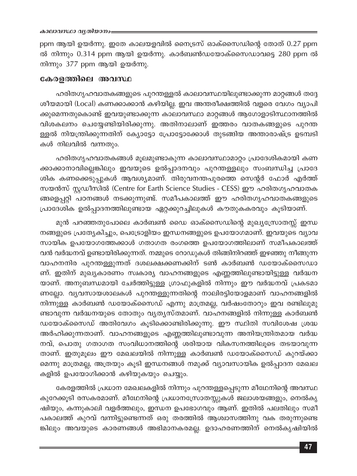ppm ആയി ഉയർന്നു. ഇതേ കാലയളവിൽ നൈട്രസ് ഓക്സൈഡിന്റെ തോത്  $0.27$  ppm ൽ നിന്നും 0.314 ppm ആയി ഉയർന്നു. കാർബൺഡയോക്സൈഡാവട്ടെ 280 ppm ൽ നിന്നും 377 ppm ആയി ഉയർന്നു.

### കേരളത്തിലെ അവസ്ഥ

ഹരിതഗൃഹവാതകങ്ങളുടെ പുറന്തള്ളൽ കാലാവസ്ഥയിലുണ്ടാക്കുന്ന മാറ്റങ്ങൾ തദ്ദേ ശീയമായി (Local) കണക്കാക്കാൻ കഴിയില്ല. ഇവ അന്തരീക്ഷത്തിൽ വളരെ വേഗം വ്യാപി ക്കുമെന്നതുകൊണ്ട് ഇവയുണ്ടാക്കുന്ന കാലാവസ്ഥാ മാറ്റങ്ങൾ ആഗോളാടിസ്ഥാനത്തിൽ വിശകലനം ചെയ്യേണ്ടിയിരിക്കുന്നു. അതിനാലാണ് ഇത്തരം വാതകങ്ങളുടെ പുറന്ത ള്ളൽ നിയന്ത്രിക്കുന്നതിന് ക്യോട്ടോ പ്രോട്ടോക്കോൾ തുടങ്ങിയ അന്താരാഷ്ട്ര ഉടമ്പടി കൾ നിലവിൽ വന്നതും.

ഹരിതഗൃഹവാതകങ്ങൾ മൂലമുണ്ടാകുന്ന കാലാവസ്ഥാമാറ്റം പ്രാദേശികമായി കണ ക്കാക്കാനാവില്ലെങ്കിലും ഇവയുടെ ഉൽപ്പാദനവും പുറന്തള്ളലും സംബന്ധിച്ച പ്രാദേ ശിക കണക്കെടുപ്പുകൾ ആവശ്യമാണ്. തിരുവനന്തപുരത്തെ സെന്റർ ഫോർ എർത്ത് സയൻസ് സ്റ്റഡീസിൽ (Centre for Earth Science Studies - CESS) ഈ ഹരിതഗൃഹവാതക ങ്ങളെപ്പറ്റി പഠനങ്ങൾ നടക്കുന്നുണ്ട്. സമീപകാലത്ത് ഈ ഹരിതഗൃഹവാതകങ്ങളുടെ പ്രാദേശിക ഉൽപ്പാദനത്തിലുണ്ടായ ഏറ്റക്കുറച്ചിലുകൾ കൗതുകകരവും കൂടിയാണ്.

മുൻ പറഞ്ഞതുപോലെ കാർബൺ ഡൈ ഓക്സൈഡിന്റെ മുഖ്യസ്രോതസ്സ് ഇന്ധ നങ്ങളുടെ പ്രത്യേകിച്ചും, പെട്രോളിയം ഇന്ധനങ്ങളുടെ ഉപയോഗമാണ്. ഇവയുടെ വ്യാവ സായിക ഉപയോഗത്തേക്കാൾ ഗതാഗത രംഗത്തെ ഉപയോഗത്തിലാണ് സമീപകാലത്ത് വൻ വർദ്ധനവ് ഉണ്ടായിരിക്കുന്നത്. നമ്മുടെ റോഡുകൾ തിങ്ങിനിറഞ്ഞ് ഇഴഞ്ഞു നീങ്ങുന്ന വാഹനനിര പുറന്തള്ളുന്നത് ദശലക്ഷക്കണക്കിന് ടൺ കാർബൺ ഡയോക്സൈഡാ ണ്. ഇതിന് മുഖ്യകാരണം സ്വകാര്യ വാഹനങ്ങളുടെ എണ്ണത്തിലുണ്ടായിട്ടുള്ള വർദ്ധന യാണ്. അനുബന്ധമായി ചേർത്തിട്ടുള്ള ഗ്രാഫുകളിൽ നിന്നും ഈ വർദ്ധനവ് പ്രകടമാ ണല്ലോ. വ്യവസായശാലകൾ പുറന്തള്ളുന്നതിന്റെ നാലിരട്ടിയോളമാണ് വാഹനങ്ങളിൽ നിന്നുള്ള കാർബൺ ഡയോക്സൈഡ് എന്നു മാത്രമല്ല, വർഷംതോറും ഇവ രണ്ടിലുമു ണ്ടാവുന്ന വർദ്ധനയുടെ തോതും വ്യത്യസ്തമാണ്. വാഹനങ്ങളിൽ നിന്നുള്ള കാർബൺ ഡയോക്സൈഡ് അതിവേഗം കൂടിക്കൊണ്ടിരിക്കുന്നു. ഈ സ്ഥിതി സവിശേഷ ശ്രദ്ധ അർഹിക്കുന്നതാണ്. വാഹനങ്ങളുടെ എണ്ണത്തിലുണ്ടാവുന്ന അനിയന്ത്രിതമായ വർദ്ധ നവ്, പൊതു ഗതാഗത സംവിധാനത്തിന്റെ ശരിയായ വികസനത്തിലൂടെ തടയാവുന്ന താണ്. ഇതുമൂലം ഈ മേഖലയിൽ നിന്നുള്ള കാർബൺ ഡയോക്സൈഡ് കുറയ്ക്കാ മെന്നു മാത്രമല്ല, അത്രയും കൂടി ഇന്ധനങ്ങൾ നമുക്ക് വ്യാവസായിക ഉൽപ്പാദന മേഖല കളിൽ ഉപയോഗിക്കാൻ കഴിയുകയും ചെയ്യും.

കേരളത്തിൽ പ്രധാന മേഖലകളിൽ നിന്നും പുറന്തള്ളപ്പെടുന്ന മീഥേനിന്റെ അവസ്ഥ കുറേക്കൂടി രസകരമാണ്. മീഥേനിന്റെ പ്രധാനസ്രോതസ്സുകൾ ജലാശയങ്ങളും, നെൽകൃ ഷിയും, കന്നുകാലി വളർത്തലും, ഇന്ധന ഉപഭോഗവും ആണ്. ഇതിൽ പലതിലും സമീ പകാലത്ത് കുറവ് വന്നിട്ടുണ്ടെന്നത് ഒരു തരത്തിൽ ആശ്വാസത്തിനു വക തരുന്നുണ്ടെ ങ്കിലും അവയുടെ കാരണങ്ങൾ അഭിമാനകരമല്ല. ഉദാഹരണത്തിന് നെൽകൃഷിയിൽ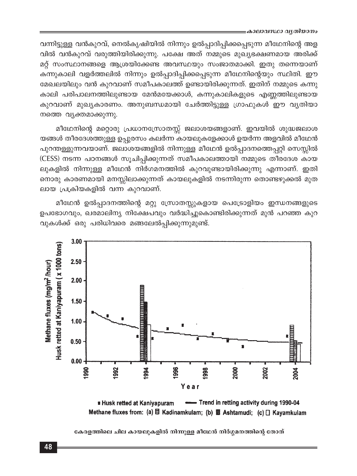വന്നിട്ടുള്ള വൻകുറവ്, നെൽകൃഷിയിൽ നിന്നും ഉൽപ്പാദിപ്പിക്കപ്പെടുന്ന മീഥേനിന്റെ അള വിൽ വൻകുറവ് വരുത്തിയിരിക്കുന്നു. പക്ഷേ അത് നമ്മുടെ മുഖ്യഭക്ഷണമായ അരിക്ക് മറ്റ് സംസ്ഥാനങ്ങളെ ആശ്രയിക്കേണ്ട അവസ്ഥയും സംജാതമാക്കി. ഇതു തന്നെയാണ് കന്നുകാലി വളർത്തലിൽ നിന്നും ഉൽപ്പാദിപ്പിക്കപ്പെടുന്ന മീഥേനിന്റെയും സ്ഥിതി. ഈ മേഖലയിലും വൻ കുറവാണ് സമീപകാലത്ത് ഉണ്ടായിരിക്കുന്നത്. ഇതിന് നമ്മുടെ കന്നു കാലി പരിപാലനത്തിലുണ്ടായ മേൻമയേക്കാൾ, കന്നുകാലികളുടെ എണ്ണത്തിലുണ്ടായ കുറവാണ് മുഖ്യകാരണം. അനുബന്ധമായി ചേർത്തിട്ടുള്ള ഗ്രാഫുകൾ ഈ വ്യതിയാ നത്തെ വ്യക്തമാക്കുന്നു.

മീഥേനിന്റെ മറ്റൊരു പ്രധാനസ്രോതസ്സ് ജലാശയങ്ങളാണ്. ഇവയിൽ ശുദ്ധജലാശ യങ്ങൾ തീരദേശത്തുള്ള ഉപ്പുരസം കലർന്ന കായലുകളേക്കാൾ ഉയർന്ന അളവിൽ മീഥേൻ പുറന്തള്ളുന്നവയാണ്. ജലാശയങ്ങളിൽ നിന്നുള്ള മീഥേൻ ഉൽപ്പാദനത്തെപ്പറ്റി സെസ്സിൽ (CESS) നടന്ന പഠനങ്ങൾ സൂചിപ്പിക്കുന്നത് സമീപകാലത്തായി നമ്മുടെ തീരദേശ കായ ലുകളിൽ നിന്നുള്ള മീഥേൻ നിർഗമനത്തിൽ കുറവുണ്ടായിരിക്കുന്നു എന്നാണ്. ഇതി നൊരു കാരണമായി മനസ്സിലാക്കുന്നത് കായലുകളിൽ നടന്നിരുന്ന തൊണ്ടഴുക്കൽ മുത ലായ പ്രക്രിയകളിൽ വന്ന കുറവാണ്.

മീഥേൻ ഉൽപ്പാദനത്തിന്റെ മറ്റു സ്രോതസ്സുകളായ പെട്രോളിയം ഇന്ധനങ്ങളുടെ ഉപഭോഗവും, ഖരമാലിന്യ നിക്ഷേപവും വർദ്ധിച്ചുകൊണ്ടിരിക്കുന്നത് മുൻ പറഞ്ഞ കുറ വുകൾക്ക് ഒരു പരിധിവരെ മങ്ങലേൽപ്പിക്കുന്നുമുണ്ട്.





കേരളത്തിലെ ചില കായലുകളിൽ നിന്നുള്ള മീഥേൻ നിർഗ്ഗമനത്തിന്റെ തോത്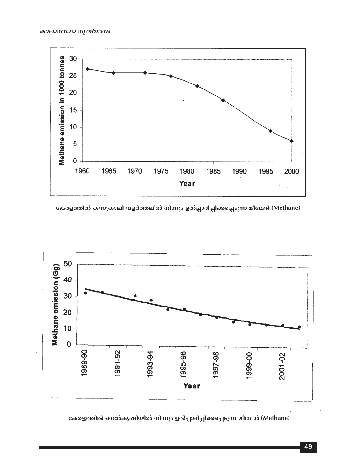

കേരളത്തിൽ കന്നുകാലി വളർത്തലിൽ നിന്നും ഉൽപ്പാദിപ്പിക്കപ്പെടുന്ന മീഥേൻ (Methane)



കേരളത്തിൽ നെൽകൃഷിയിൽ നിന്നും ഉൽപ്പാദിപ്പിക്കപ്പെടുന്ന മീഥേൻ (Methane)